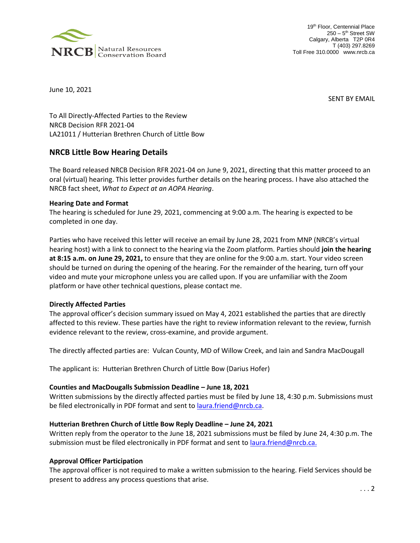

19<sup>th</sup> Floor, Centennial Place 250 - 5<sup>th</sup> Street SW Calgary, Alberta T2P 0R4 T (403) 297.8269 Toll Free 310.0000 www.nrcb.ca

June 10, 2021

SENT BY EMAIL

To All Directly-Affected Parties to the Review NRCB Decision RFR 2021-04 LA21011 / Hutterian Brethren Church of Little Bow

# **NRCB Little Bow Hearing Details**

The Board released NRCB Decision RFR 2021-04 on June 9, 2021, directing that this matter proceed to an oral (virtual) hearing. This letter provides further details on the hearing process. I have also attached the NRCB fact sheet, *What to Expect at an AOPA Hearing*.

## **Hearing Date and Format**

The hearing is scheduled for June 29, 2021, commencing at 9:00 a.m. The hearing is expected to be completed in one day.

Parties who have received this letter will receive an email by June 28, 2021 from MNP (NRCB's virtual hearing host) with a link to connect to the hearing via the Zoom platform. Parties should **join the hearing at 8:15 a.m. on June 29, 2021,** to ensure that they are online for the 9:00 a.m. start. Your video screen should be turned on during the opening of the hearing. For the remainder of the hearing, turn off your video and mute your microphone unless you are called upon. If you are unfamiliar with the Zoom platform or have other technical questions, please contact me.

## **Directly Affected Parties**

The approval officer's decision summary issued on May 4, 2021 established the parties that are directly affected to this review. These parties have the right to review information relevant to the review, furnish evidence relevant to the review, cross-examine, and provide argument.

The directly affected parties are: Vulcan County, MD of Willow Creek, and Iain and Sandra MacDougall

The applicant is: Hutterian Brethren Church of Little Bow (Darius Hofer)

# **Counties and MacDougalls Submission Deadline – June 18, 2021**

Written submissions by the directly affected parties must be filed by June 18, 4:30 p.m. Submissions must be filed electronically in PDF format and sent to <u>laura.friend@nrcb.ca</u>.

## **Hutterian Brethren Church of Little Bow Reply Deadline – June 24, 2021**

Written reply from the operator to the June 18, 2021 submissions must be filed by June 24, 4:30 p.m. The submission must be filed electronically in PDF format and sent t[o laura.friend@nrcb.ca.](mailto:laura.friend@nrcb.ca)

## **Approval Officer Participation**

The approval officer is not required to make a written submission to the hearing. Field Services should be present to address any process questions that arise.